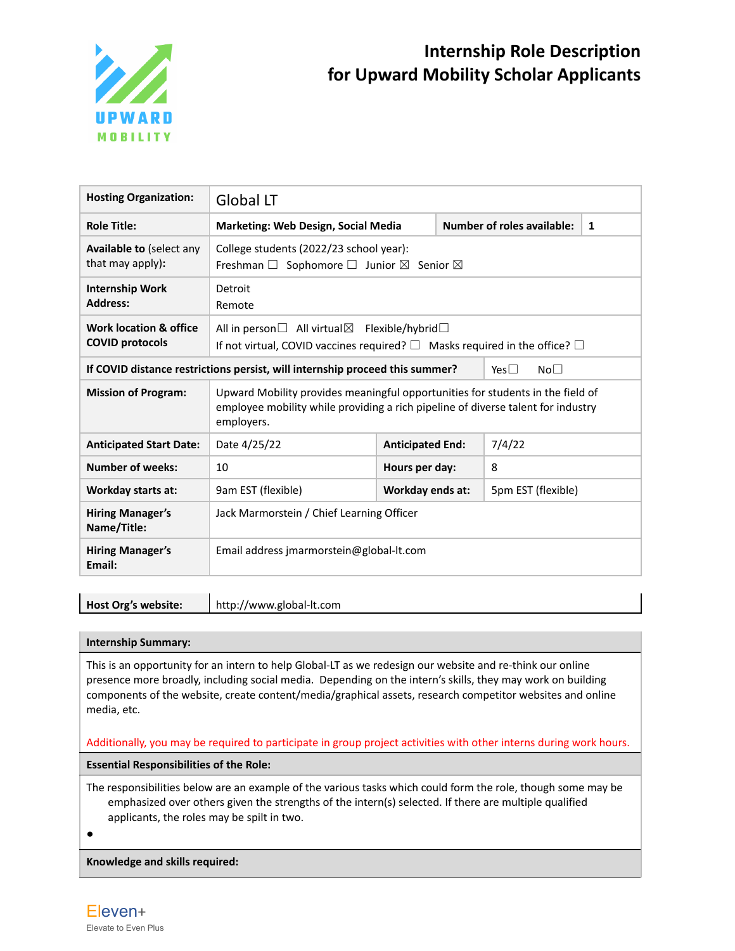

| <b>Hosting Organization:</b>                                                 | <b>Global LT</b>                                                                                                                                                                 |                         |  |                                   |   |  |
|------------------------------------------------------------------------------|----------------------------------------------------------------------------------------------------------------------------------------------------------------------------------|-------------------------|--|-----------------------------------|---|--|
| <b>Role Title:</b>                                                           | <b>Marketing: Web Design, Social Media</b>                                                                                                                                       |                         |  | <b>Number of roles available:</b> | 1 |  |
| <b>Available to (select any</b><br>that may apply):                          | College students (2022/23 school year):<br>Freshman $\Box$ Sophomore $\Box$ Junior $\boxtimes$ Senior $\boxtimes$                                                                |                         |  |                                   |   |  |
| <b>Internship Work</b><br><b>Address:</b>                                    | Detroit<br>Remote                                                                                                                                                                |                         |  |                                   |   |  |
| <b>Work location &amp; office</b><br><b>COVID protocols</b>                  | All in person $\Box$ All virtual $\boxtimes$ Flexible/hybrid $\Box$<br>If not virtual, COVID vaccines required? $\Box$ Masks required in the office? $\Box$                      |                         |  |                                   |   |  |
| If COVID distance restrictions persist, will internship proceed this summer? |                                                                                                                                                                                  |                         |  | No <sub>1</sub><br>Yes $\Box$     |   |  |
| <b>Mission of Program:</b>                                                   | Upward Mobility provides meaningful opportunities for students in the field of<br>employee mobility while providing a rich pipeline of diverse talent for industry<br>employers. |                         |  |                                   |   |  |
| <b>Anticipated Start Date:</b>                                               | Date 4/25/22                                                                                                                                                                     | <b>Anticipated End:</b> |  | 7/4/22                            |   |  |
| <b>Number of weeks:</b>                                                      | 10                                                                                                                                                                               | Hours per day:          |  | 8                                 |   |  |
| Workday starts at:                                                           | 9am EST (flexible)                                                                                                                                                               | Workday ends at:        |  | 5pm EST (flexible)                |   |  |
| <b>Hiring Manager's</b><br>Name/Title:                                       | Jack Marmorstein / Chief Learning Officer                                                                                                                                        |                         |  |                                   |   |  |
| <b>Hiring Manager's</b><br>Email:                                            | Email address imarmorstein@global-lt.com                                                                                                                                         |                         |  |                                   |   |  |

**Host Org's website:** http://www.global-lt.com

#### **Internship Summary:**

This is an opportunity for an intern to help Global-LT as we redesign our website and re-think our online presence more broadly, including social media. Depending on the intern's skills, they may work on building components of the website, create content/media/graphical assets, research competitor websites and online media, etc.

# Additionally, you may be required to participate in group project activities with other interns during work hours.

**Essential Responsibilities of the Role:**

The responsibilities below are an example of the various tasks which could form the role, though some may be emphasized over others given the strengths of the intern(s) selected. If there are multiple qualified applicants, the roles may be spilt in two.

●

**Knowledge and skills required:**